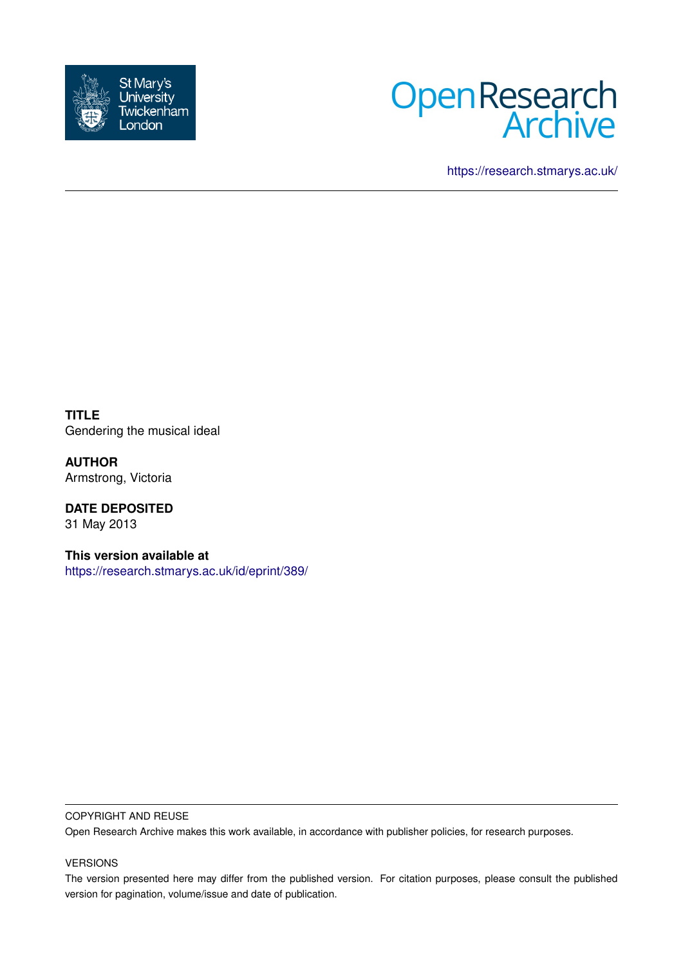



<https://research.stmarys.ac.uk/>

**TITLE** Gendering the musical ideal

**AUTHOR** Armstrong, Victoria

**DATE DEPOSITED** 31 May 2013

**This version available at** <https://research.stmarys.ac.uk/id/eprint/389/>

### COPYRIGHT AND REUSE

Open Research Archive makes this work available, in accordance with publisher policies, for research purposes.

## VERSIONS

The version presented here may differ from the published version. For citation purposes, please consult the published version for pagination, volume/issue and date of publication.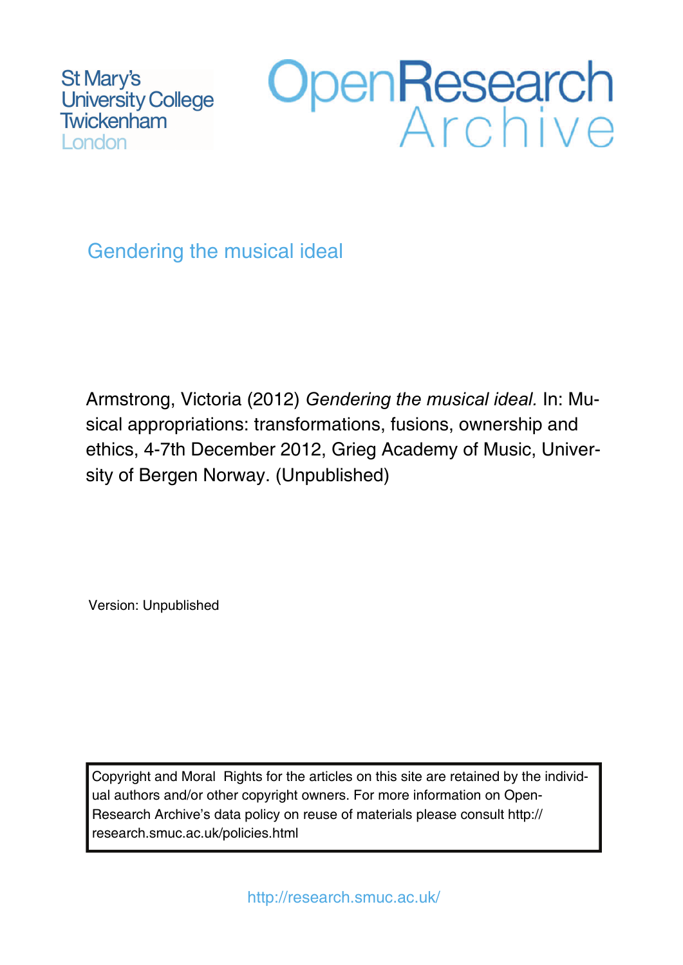**St Mary's University College** Twickenham **London** 



Gendering the musical ideal

Armstrong, Victoria (2012) *Gendering the musical ideal.* In: Musical appropriations: transformations, fusions, ownership and ethics, 4-7th December 2012, Grieg Academy of Music, University of Bergen Norway. (Unpublished)

Version: Unpublished

Copyright and Moral Rights for the articles on this site are retained by the individual authors and/or other copyright owners. For more information on Open-Research Archive's data policy on reuse of materials please consult http:// research.smuc.ac.uk/policies.html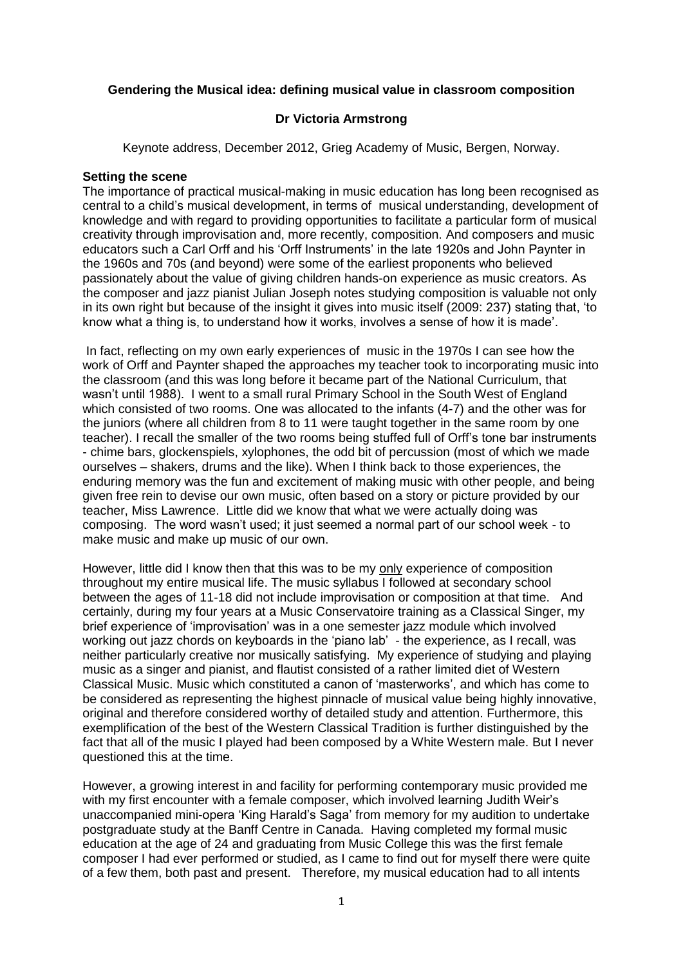## **Gendering the Musical idea: defining musical value in classroom composition**

## **Dr Victoria Armstrong**

Keynote address, December 2012, Grieg Academy of Music, Bergen, Norway.

#### **Setting the scene**

The importance of practical musical-making in music education has long been recognised as central to a child's musical development, in terms of musical understanding, development of knowledge and with regard to providing opportunities to facilitate a particular form of musical creativity through improvisation and, more recently, composition. And composers and music educators such a Carl Orff and his 'Orff Instruments' in the late 1920s and John Paynter in the 1960s and 70s (and beyond) were some of the earliest proponents who believed passionately about the value of giving children hands-on experience as music creators. As the composer and jazz pianist Julian Joseph notes studying composition is valuable not only in its own right but because of the insight it gives into music itself (2009: 237) stating that, 'to know what a thing is, to understand how it works, involves a sense of how it is made'.

In fact, reflecting on my own early experiences of music in the 1970s I can see how the work of Orff and Paynter shaped the approaches my teacher took to incorporating music into the classroom (and this was long before it became part of the National Curriculum, that wasn't until 1988). I went to a small rural Primary School in the South West of England which consisted of two rooms. One was allocated to the infants (4-7) and the other was for the juniors (where all children from 8 to 11 were taught together in the same room by one teacher). I recall the smaller of the two rooms being stuffed full of Orff's tone bar instruments - chime bars, glockenspiels, xylophones, the odd bit of percussion (most of which we made ourselves – shakers, drums and the like). When I think back to those experiences, the enduring memory was the fun and excitement of making music with other people, and being given free rein to devise our own music, often based on a story or picture provided by our teacher, Miss Lawrence. Little did we know that what we were actually doing was composing. The word wasn't used; it just seemed a normal part of our school week - to make music and make up music of our own.

However, little did I know then that this was to be my only experience of composition throughout my entire musical life. The music syllabus I followed at secondary school between the ages of 11-18 did not include improvisation or composition at that time. And certainly, during my four years at a Music Conservatoire training as a Classical Singer, my brief experience of 'improvisation' was in a one semester jazz module which involved working out jazz chords on keyboards in the 'piano lab' - the experience, as I recall, was neither particularly creative nor musically satisfying. My experience of studying and playing music as a singer and pianist, and flautist consisted of a rather limited diet of Western Classical Music. Music which constituted a canon of 'masterworks', and which has come to be considered as representing the highest pinnacle of musical value being highly innovative, original and therefore considered worthy of detailed study and attention. Furthermore, this exemplification of the best of the Western Classical Tradition is further distinguished by the fact that all of the music I played had been composed by a White Western male. But I never questioned this at the time.

However, a growing interest in and facility for performing contemporary music provided me with my first encounter with a female composer, which involved learning Judith Weir's unaccompanied mini-opera 'King Harald's Saga' from memory for my audition to undertake postgraduate study at the Banff Centre in Canada. Having completed my formal music education at the age of 24 and graduating from Music College this was the first female composer I had ever performed or studied, as I came to find out for myself there were quite of a few them, both past and present. Therefore, my musical education had to all intents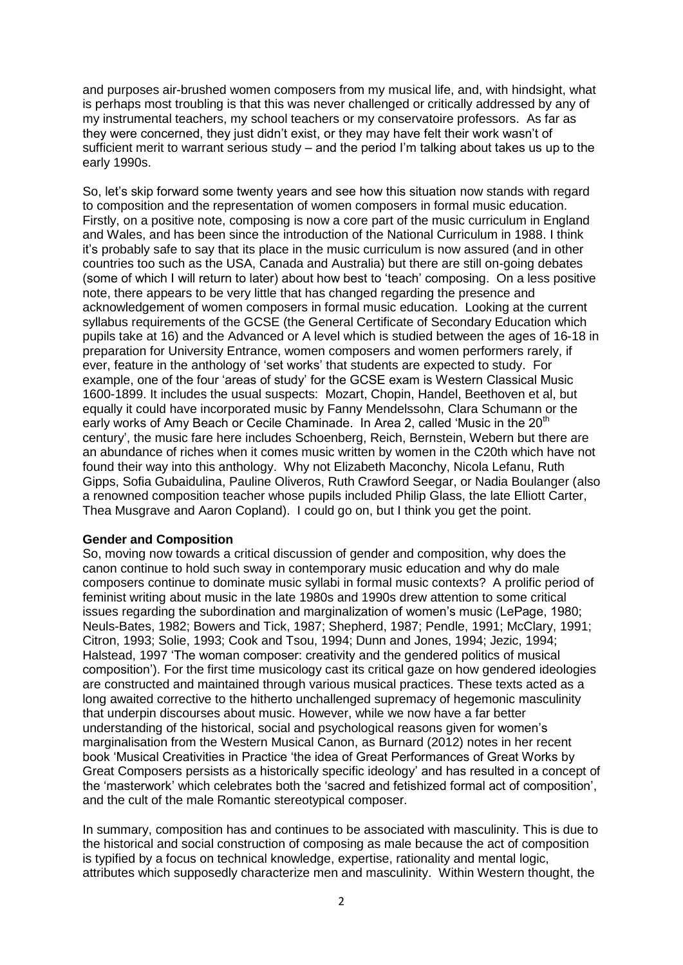and purposes air-brushed women composers from my musical life, and, with hindsight, what is perhaps most troubling is that this was never challenged or critically addressed by any of my instrumental teachers, my school teachers or my conservatoire professors. As far as they were concerned, they just didn't exist, or they may have felt their work wasn't of sufficient merit to warrant serious study – and the period I'm talking about takes us up to the early 1990s.

So, let's skip forward some twenty years and see how this situation now stands with regard to composition and the representation of women composers in formal music education. Firstly, on a positive note, composing is now a core part of the music curriculum in England and Wales, and has been since the introduction of the National Curriculum in 1988. I think it's probably safe to say that its place in the music curriculum is now assured (and in other countries too such as the USA, Canada and Australia) but there are still on-going debates (some of which I will return to later) about how best to 'teach' composing. On a less positive note, there appears to be very little that has changed regarding the presence and acknowledgement of women composers in formal music education. Looking at the current syllabus requirements of the GCSE (the General Certificate of Secondary Education which pupils take at 16) and the Advanced or A level which is studied between the ages of 16-18 in preparation for University Entrance, women composers and women performers rarely, if ever, feature in the anthology of 'set works' that students are expected to study. For example, one of the four 'areas of study' for the GCSE exam is Western Classical Music 1600-1899. It includes the usual suspects: Mozart, Chopin, Handel, Beethoven et al, but equally it could have incorporated music by Fanny Mendelssohn, Clara Schumann or the early works of Amy Beach or Cecile Chaminade. In Area 2, called 'Music in the 20<sup>th</sup> century', the music fare here includes Schoenberg, Reich, Bernstein, Webern but there are an abundance of riches when it comes music written by women in the C20th which have not found their way into this anthology. Why not Elizabeth Maconchy, Nicola Lefanu, Ruth Gipps, Sofia Gubaidulina, Pauline Oliveros, Ruth Crawford Seegar, or Nadia Boulanger (also a renowned composition teacher whose pupils included Philip Glass, the late Elliott Carter, Thea Musgrave and Aaron Copland). I could go on, but I think you get the point.

### **Gender and Composition**

So, moving now towards a critical discussion of gender and composition, why does the canon continue to hold such sway in contemporary music education and why do male composers continue to dominate music syllabi in formal music contexts? A prolific period of feminist writing about music in the late 1980s and 1990s drew attention to some critical issues regarding the subordination and marginalization of women's music (LePage, 1980; Neuls-Bates, 1982; Bowers and Tick, 1987; Shepherd, 1987; Pendle, 1991; McClary, 1991; Citron, 1993; Solie, 1993; Cook and Tsou, 1994; Dunn and Jones, 1994; Jezic, 1994; Halstead, 1997 'The woman composer: creativity and the gendered politics of musical composition'). For the first time musicology cast its critical gaze on how gendered ideologies are constructed and maintained through various musical practices. These texts acted as a long awaited corrective to the hitherto unchallenged supremacy of hegemonic masculinity that underpin discourses about music. However, while we now have a far better understanding of the historical, social and psychological reasons given for women's marginalisation from the Western Musical Canon, as Burnard (2012) notes in her recent book 'Musical Creativities in Practice 'the idea of Great Performances of Great Works by Great Composers persists as a historically specific ideology' and has resulted in a concept of the 'masterwork' which celebrates both the 'sacred and fetishized formal act of composition', and the cult of the male Romantic stereotypical composer.

In summary, composition has and continues to be associated with masculinity. This is due to the historical and social construction of composing as male because the act of composition is typified by a focus on technical knowledge, expertise, rationality and mental logic, attributes which supposedly characterize men and masculinity. Within Western thought, the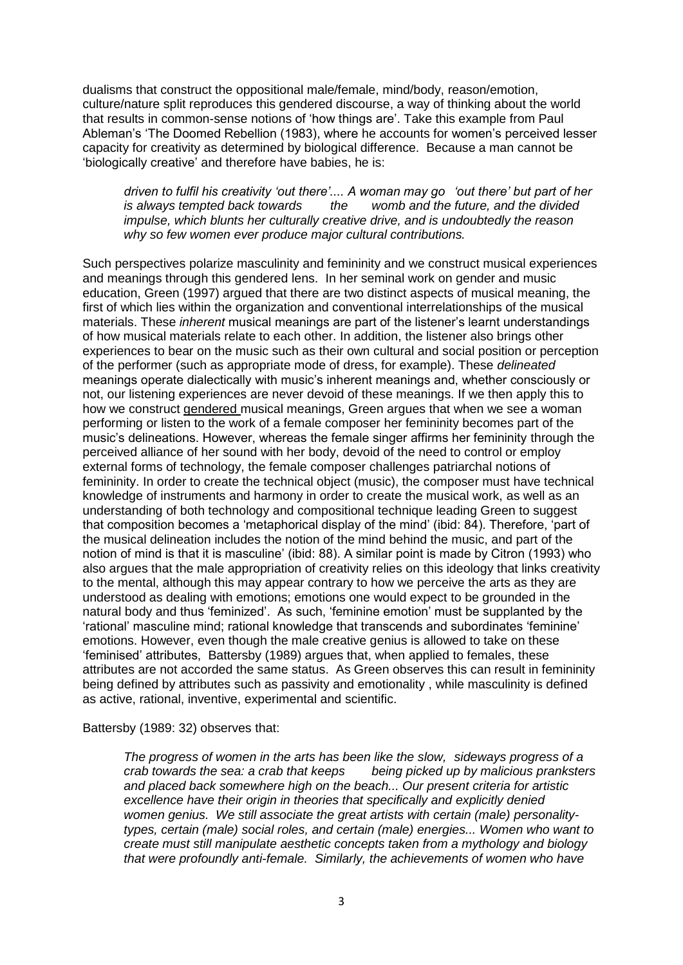dualisms that construct the oppositional male/female, mind/body, reason/emotion, culture/nature split reproduces this gendered discourse, a way of thinking about the world that results in common-sense notions of 'how things are'. Take this example from Paul Ableman's 'The Doomed Rebellion (1983), where he accounts for women's perceived lesser capacity for creativity as determined by biological difference. Because a man cannot be 'biologically creative' and therefore have babies, he is:

*driven to fulfil his creativity 'out there'.... A woman may go 'out there' but part of her is always tempted back towards the womb and the future, and the divided impulse, which blunts her culturally creative drive, and is undoubtedly the reason why so few women ever produce major cultural contributions.*

Such perspectives polarize masculinity and femininity and we construct musical experiences and meanings through this gendered lens. In her seminal work on gender and music education, Green (1997) argued that there are two distinct aspects of musical meaning, the first of which lies within the organization and conventional interrelationships of the musical materials. These *inherent* musical meanings are part of the listener's learnt understandings of how musical materials relate to each other. In addition, the listener also brings other experiences to bear on the music such as their own cultural and social position or perception of the performer (such as appropriate mode of dress, for example). These *delineated* meanings operate dialectically with music's inherent meanings and, whether consciously or not, our listening experiences are never devoid of these meanings. If we then apply this to how we construct gendered musical meanings, Green argues that when we see a woman performing or listen to the work of a female composer her femininity becomes part of the music's delineations. However, whereas the female singer affirms her femininity through the perceived alliance of her sound with her body, devoid of the need to control or employ external forms of technology, the female composer challenges patriarchal notions of femininity. In order to create the technical object (music), the composer must have technical knowledge of instruments and harmony in order to create the musical work, as well as an understanding of both technology and compositional technique leading Green to suggest that composition becomes a 'metaphorical display of the mind' (ibid: 84). Therefore, 'part of the musical delineation includes the notion of the mind behind the music, and part of the notion of mind is that it is masculine' (ibid: 88). A similar point is made by Citron (1993) who also argues that the male appropriation of creativity relies on this ideology that links creativity to the mental, although this may appear contrary to how we perceive the arts as they are understood as dealing with emotions; emotions one would expect to be grounded in the natural body and thus 'feminized'. As such, 'feminine emotion' must be supplanted by the 'rational' masculine mind; rational knowledge that transcends and subordinates 'feminine' emotions. However, even though the male creative genius is allowed to take on these 'feminised' attributes, Battersby (1989) argues that, when applied to females, these attributes are not accorded the same status. As Green observes this can result in femininity being defined by attributes such as passivity and emotionality , while masculinity is defined as active, rational, inventive, experimental and scientific.

Battersby (1989: 32) observes that:

*The progress of women in the arts has been like the slow, sideways progress of a crab towards the sea: a crab that keeps being picked up by malicious pranksters and placed back somewhere high on the beach... Our present criteria for artistic excellence have their origin in theories that specifically and explicitly denied women genius. We still associate the great artists with certain (male) personalitytypes, certain (male) social roles, and certain (male) energies... Women who want to create must still manipulate aesthetic concepts taken from a mythology and biology that were profoundly anti-female. Similarly, the achievements of women who have*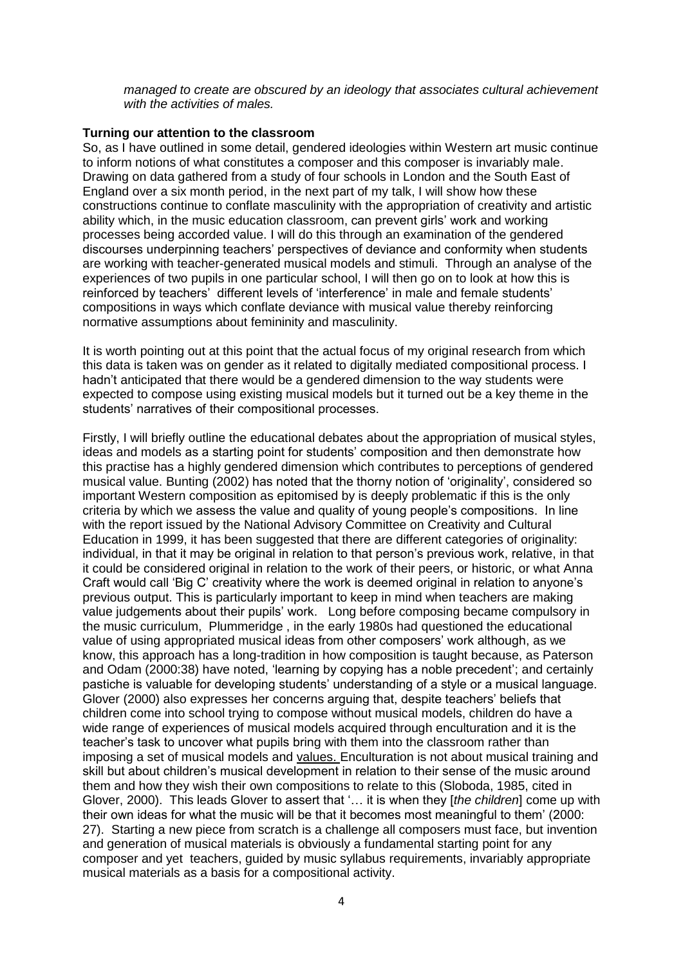*managed to create are obscured by an ideology that associates cultural achievement with the activities of males.* 

### **Turning our attention to the classroom**

So, as I have outlined in some detail, gendered ideologies within Western art music continue to inform notions of what constitutes a composer and this composer is invariably male. Drawing on data gathered from a study of four schools in London and the South East of England over a six month period, in the next part of my talk, I will show how these constructions continue to conflate masculinity with the appropriation of creativity and artistic ability which, in the music education classroom, can prevent girls' work and working processes being accorded value. I will do this through an examination of the gendered discourses underpinning teachers' perspectives of deviance and conformity when students are working with teacher-generated musical models and stimuli. Through an analyse of the experiences of two pupils in one particular school, I will then go on to look at how this is reinforced by teachers' different levels of 'interference' in male and female students' compositions in ways which conflate deviance with musical value thereby reinforcing normative assumptions about femininity and masculinity.

It is worth pointing out at this point that the actual focus of my original research from which this data is taken was on gender as it related to digitally mediated compositional process. I hadn't anticipated that there would be a gendered dimension to the way students were expected to compose using existing musical models but it turned out be a key theme in the students' narratives of their compositional processes.

Firstly, I will briefly outline the educational debates about the appropriation of musical styles, ideas and models as a starting point for students' composition and then demonstrate how this practise has a highly gendered dimension which contributes to perceptions of gendered musical value. Bunting (2002) has noted that the thorny notion of 'originality', considered so important Western composition as epitomised by is deeply problematic if this is the only criteria by which we assess the value and quality of young people's compositions. In line with the report issued by the National Advisory Committee on Creativity and Cultural Education in 1999, it has been suggested that there are different categories of originality: individual, in that it may be original in relation to that person's previous work, relative, in that it could be considered original in relation to the work of their peers, or historic, or what Anna Craft would call 'Big C' creativity where the work is deemed original in relation to anyone's previous output. This is particularly important to keep in mind when teachers are making value judgements about their pupils' work. Long before composing became compulsory in the music curriculum, Plummeridge , in the early 1980s had questioned the educational value of using appropriated musical ideas from other composers' work although, as we know, this approach has a long-tradition in how composition is taught because, as Paterson and Odam (2000:38) have noted, 'learning by copying has a noble precedent'; and certainly pastiche is valuable for developing students' understanding of a style or a musical language. Glover (2000) also expresses her concerns arguing that, despite teachers' beliefs that children come into school trying to compose without musical models, children do have a wide range of experiences of musical models acquired through enculturation and it is the teacher's task to uncover what pupils bring with them into the classroom rather than imposing a set of musical models and values. Enculturation is not about musical training and skill but about children's musical development in relation to their sense of the music around them and how they wish their own compositions to relate to this (Sloboda, 1985, cited in Glover, 2000). This leads Glover to assert that '… it is when they [*the children*] come up with their own ideas for what the music will be that it becomes most meaningful to them' (2000: 27). Starting a new piece from scratch is a challenge all composers must face, but invention and generation of musical materials is obviously a fundamental starting point for any composer and yet teachers, guided by music syllabus requirements, invariably appropriate musical materials as a basis for a compositional activity.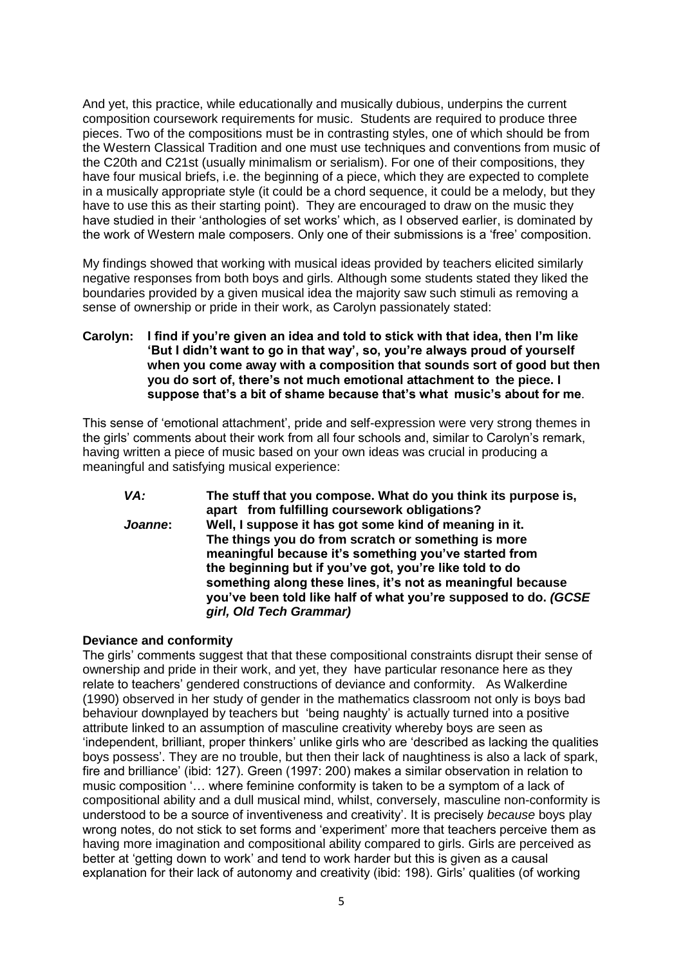And yet, this practice, while educationally and musically dubious, underpins the current composition coursework requirements for music. Students are required to produce three pieces. Two of the compositions must be in contrasting styles, one of which should be from the Western Classical Tradition and one must use techniques and conventions from music of the C20th and C21st (usually minimalism or serialism). For one of their compositions, they have four musical briefs, i.e. the beginning of a piece, which they are expected to complete in a musically appropriate style (it could be a chord sequence, it could be a melody, but they have to use this as their starting point). They are encouraged to draw on the music they have studied in their 'anthologies of set works' which, as I observed earlier, is dominated by the work of Western male composers. Only one of their submissions is a 'free' composition.

My findings showed that working with musical ideas provided by teachers elicited similarly negative responses from both boys and girls. Although some students stated they liked the boundaries provided by a given musical idea the majority saw such stimuli as removing a sense of ownership or pride in their work, as Carolyn passionately stated:

**Carolyn: I find if you're given an idea and told to stick with that idea, then I'm like 'But I didn't want to go in that way', so, you're always proud of yourself when you come away with a composition that sounds sort of good but then you do sort of, there's not much emotional attachment to the piece. I suppose that's a bit of shame because that's what music's about for me**.

This sense of 'emotional attachment', pride and self-expression were very strong themes in the girls' comments about their work from all four schools and, similar to Carolyn's remark, having written a piece of music based on your own ideas was crucial in producing a meaningful and satisfying musical experience:

*VA:* **The stuff that you compose. What do you think its purpose is, apart from fulfilling coursework obligations?** *Joanne***: Well, I suppose it has got some kind of meaning in it. The things you do from scratch or something is more meaningful because it's something you've started from the beginning but if you've got, you're like told to do something along these lines, it's not as meaningful because you've been told like half of what you're supposed to do.** *(GCSE girl, Old Tech Grammar)*

# **Deviance and conformity**

The girls' comments suggest that that these compositional constraints disrupt their sense of ownership and pride in their work, and yet, they have particular resonance here as they relate to teachers' gendered constructions of deviance and conformity. As Walkerdine (1990) observed in her study of gender in the mathematics classroom not only is boys bad behaviour downplayed by teachers but 'being naughty' is actually turned into a positive attribute linked to an assumption of masculine creativity whereby boys are seen as 'independent, brilliant, proper thinkers' unlike girls who are 'described as lacking the qualities boys possess'. They are no trouble, but then their lack of naughtiness is also a lack of spark, fire and brilliance' (ibid: 127). Green (1997: 200) makes a similar observation in relation to music composition '… where feminine conformity is taken to be a symptom of a lack of compositional ability and a dull musical mind, whilst, conversely, masculine non-conformity is understood to be a source of inventiveness and creativity'. It is precisely *because* boys play wrong notes, do not stick to set forms and 'experiment' more that teachers perceive them as having more imagination and compositional ability compared to girls. Girls are perceived as better at 'getting down to work' and tend to work harder but this is given as a causal explanation for their lack of autonomy and creativity (ibid: 198). Girls' qualities (of working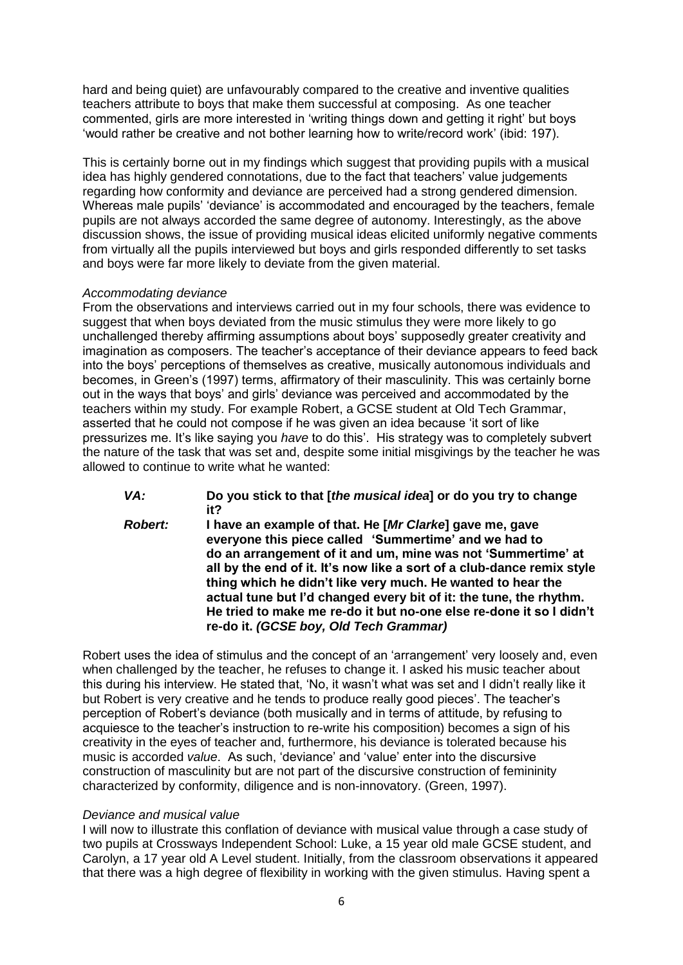hard and being quiet) are unfavourably compared to the creative and inventive qualities teachers attribute to boys that make them successful at composing. As one teacher commented, girls are more interested in 'writing things down and getting it right' but boys 'would rather be creative and not bother learning how to write/record work' (ibid: 197).

This is certainly borne out in my findings which suggest that providing pupils with a musical idea has highly gendered connotations, due to the fact that teachers' value judgements regarding how conformity and deviance are perceived had a strong gendered dimension. Whereas male pupils' 'deviance' is accommodated and encouraged by the teachers, female pupils are not always accorded the same degree of autonomy. Interestingly, as the above discussion shows, the issue of providing musical ideas elicited uniformly negative comments from virtually all the pupils interviewed but boys and girls responded differently to set tasks and boys were far more likely to deviate from the given material.

### *Accommodating deviance*

From the observations and interviews carried out in my four schools, there was evidence to suggest that when boys deviated from the music stimulus they were more likely to go unchallenged thereby affirming assumptions about boys' supposedly greater creativity and imagination as composers. The teacher's acceptance of their deviance appears to feed back into the boys' perceptions of themselves as creative, musically autonomous individuals and becomes, in Green's (1997) terms, affirmatory of their masculinity. This was certainly borne out in the ways that boys' and girls' deviance was perceived and accommodated by the teachers within my study. For example Robert, a GCSE student at Old Tech Grammar, asserted that he could not compose if he was given an idea because 'it sort of like pressurizes me. It's like saying you *have* to do this'. His strategy was to completely subvert the nature of the task that was set and, despite some initial misgivings by the teacher he was allowed to continue to write what he wanted:

*VA:* **Do you stick to that [***the musical idea***] or do you try to change it?** *Robert:* **I have an example of that. He [***Mr Clarke***] gave me, gave everyone this piece called 'Summertime' and we had to do an arrangement of it and um, mine was not 'Summertime' at all by the end of it. It's now like a sort of a club-dance remix style thing which he didn't like very much. He wanted to hear the actual tune but I'd changed every bit of it: the tune, the rhythm. He tried to make me re-do it but no-one else re-done it so I didn't re-do it.** *(GCSE boy, Old Tech Grammar)*

Robert uses the idea of stimulus and the concept of an 'arrangement' very loosely and, even when challenged by the teacher, he refuses to change it. I asked his music teacher about this during his interview. He stated that, 'No, it wasn't what was set and I didn't really like it but Robert is very creative and he tends to produce really good pieces'. The teacher's perception of Robert's deviance (both musically and in terms of attitude, by refusing to acquiesce to the teacher's instruction to re-write his composition) becomes a sign of his creativity in the eyes of teacher and, furthermore, his deviance is tolerated because his music is accorded *value*. As such, 'deviance' and 'value' enter into the discursive construction of masculinity but are not part of the discursive construction of femininity characterized by conformity, diligence and is non-innovatory. (Green, 1997).

# *Deviance and musical value*

I will now to illustrate this conflation of deviance with musical value through a case study of two pupils at Crossways Independent School: Luke, a 15 year old male GCSE student, and Carolyn, a 17 year old A Level student. Initially, from the classroom observations it appeared that there was a high degree of flexibility in working with the given stimulus. Having spent a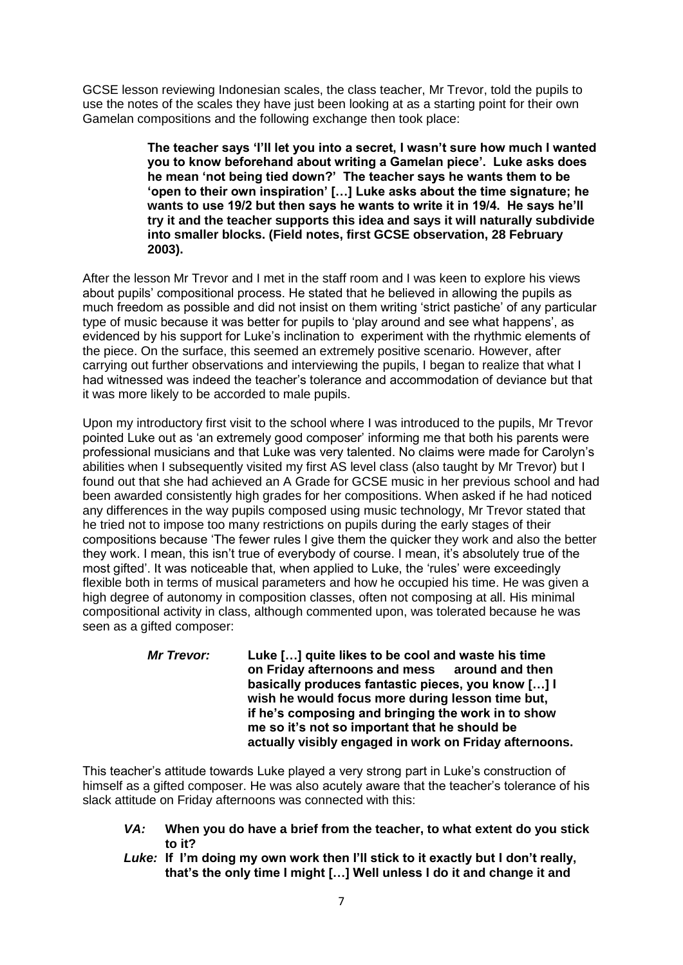GCSE lesson reviewing Indonesian scales, the class teacher, Mr Trevor, told the pupils to use the notes of the scales they have just been looking at as a starting point for their own Gamelan compositions and the following exchange then took place:

> **The teacher says 'I'll let you into a secret, I wasn't sure how much I wanted you to know beforehand about writing a Gamelan piece'. Luke asks does he mean 'not being tied down?' The teacher says he wants them to be 'open to their own inspiration' […] Luke asks about the time signature; he wants to use 19/2 but then says he wants to write it in 19/4. He says he'll try it and the teacher supports this idea and says it will naturally subdivide into smaller blocks. (Field notes, first GCSE observation, 28 February 2003).**

After the lesson Mr Trevor and I met in the staff room and I was keen to explore his views about pupils' compositional process. He stated that he believed in allowing the pupils as much freedom as possible and did not insist on them writing 'strict pastiche' of any particular type of music because it was better for pupils to 'play around and see what happens', as evidenced by his support for Luke's inclination to experiment with the rhythmic elements of the piece. On the surface, this seemed an extremely positive scenario. However, after carrying out further observations and interviewing the pupils, I began to realize that what I had witnessed was indeed the teacher's tolerance and accommodation of deviance but that it was more likely to be accorded to male pupils.

Upon my introductory first visit to the school where I was introduced to the pupils, Mr Trevor pointed Luke out as 'an extremely good composer' informing me that both his parents were professional musicians and that Luke was very talented. No claims were made for Carolyn's abilities when I subsequently visited my first AS level class (also taught by Mr Trevor) but I found out that she had achieved an A Grade for GCSE music in her previous school and had been awarded consistently high grades for her compositions. When asked if he had noticed any differences in the way pupils composed using music technology, Mr Trevor stated that he tried not to impose too many restrictions on pupils during the early stages of their compositions because 'The fewer rules I give them the quicker they work and also the better they work. I mean, this isn't true of everybody of course. I mean, it's absolutely true of the most gifted'. It was noticeable that, when applied to Luke, the 'rules' were exceedingly flexible both in terms of musical parameters and how he occupied his time. He was given a high degree of autonomy in composition classes, often not composing at all. His minimal compositional activity in class, although commented upon, was tolerated because he was seen as a gifted composer:

> *Mr Trevor:* **Luke […] quite likes to be cool and waste his time on Friday afternoons and mess around and then basically produces fantastic pieces, you know […] I wish he would focus more during lesson time but, if he's composing and bringing the work in to show me so it's not so important that he should be actually visibly engaged in work on Friday afternoons.**

This teacher's attitude towards Luke played a very strong part in Luke's construction of himself as a gifted composer. He was also acutely aware that the teacher's tolerance of his slack attitude on Friday afternoons was connected with this:

- *VA:* **When you do have a brief from the teacher, to what extent do you stick to it?**
- *Luke:* **If I'm doing my own work then I'll stick to it exactly but I don't really, that's the only time I might […] Well unless I do it and change it and**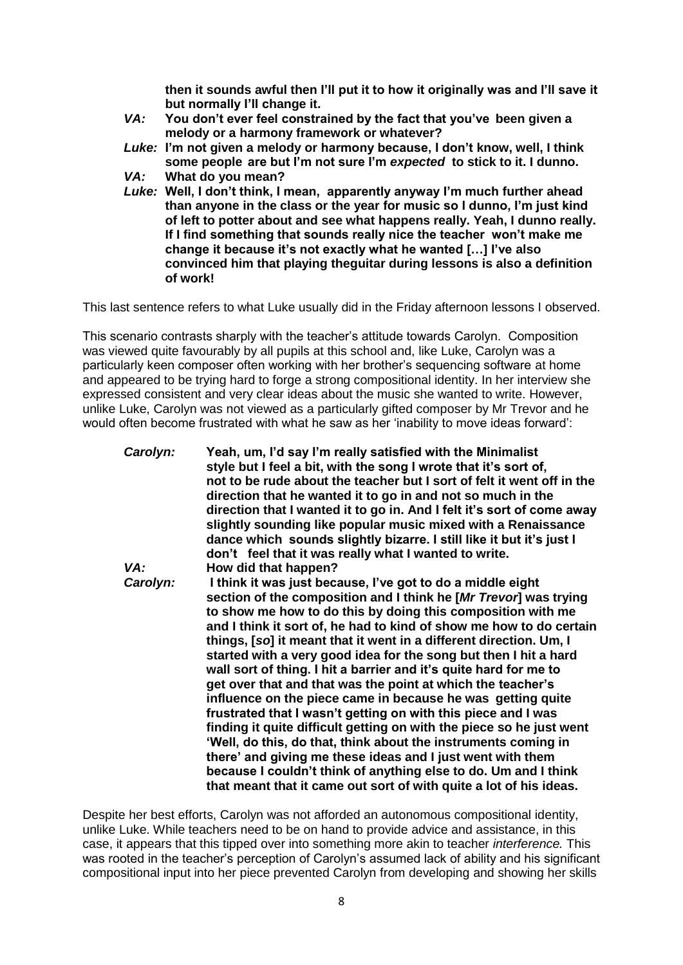**then it sounds awful then I'll put it to how it originally was and I'll save it but normally I'll change it.**

- *VA:* **You don't ever feel constrained by the fact that you've been given a melody or a harmony framework or whatever?**
- *Luke:* **I'm not given a melody or harmony because, I don't know, well, I think some people are but I'm not sure I'm** *expected* **to stick to it. I dunno.**
- *VA:* **What do you mean?**
- *Luke:* **Well, I don't think, I mean, apparently anyway I'm much further ahead than anyone in the class or the year for music so I dunno, I'm just kind of left to potter about and see what happens really. Yeah, I dunno really. If I find something that sounds really nice the teacher won't make me change it because it's not exactly what he wanted […] I've also convinced him that playing theguitar during lessons is also a definition of work!**

This last sentence refers to what Luke usually did in the Friday afternoon lessons I observed.

This scenario contrasts sharply with the teacher's attitude towards Carolyn. Composition was viewed quite favourably by all pupils at this school and, like Luke, Carolyn was a particularly keen composer often working with her brother's sequencing software at home and appeared to be trying hard to forge a strong compositional identity. In her interview she expressed consistent and very clear ideas about the music she wanted to write. However, unlike Luke, Carolyn was not viewed as a particularly gifted composer by Mr Trevor and he would often become frustrated with what he saw as her 'inability to move ideas forward':

| Carolyn: | Yeah, um, I'd say I'm really satisfied with the Minimalist<br>style but I feel a bit, with the song I wrote that it's sort of,<br>not to be rude about the teacher but I sort of felt it went off in the<br>direction that he wanted it to go in and not so much in the<br>direction that I wanted it to go in. And I felt it's sort of come away<br>slightly sounding like popular music mixed with a Renaissance<br>dance which sounds slightly bizarre. I still like it but it's just I |
|----------|--------------------------------------------------------------------------------------------------------------------------------------------------------------------------------------------------------------------------------------------------------------------------------------------------------------------------------------------------------------------------------------------------------------------------------------------------------------------------------------------|
|          | don't feel that it was really what I wanted to write.                                                                                                                                                                                                                                                                                                                                                                                                                                      |
| VA:      | How did that happen?                                                                                                                                                                                                                                                                                                                                                                                                                                                                       |
| Carolyn: | I think it was just because, I've got to do a middle eight                                                                                                                                                                                                                                                                                                                                                                                                                                 |
|          | section of the composition and I think he [Mr Trevor] was trying                                                                                                                                                                                                                                                                                                                                                                                                                           |
|          | to show me how to do this by doing this composition with me                                                                                                                                                                                                                                                                                                                                                                                                                                |
|          | and I think it sort of, he had to kind of show me how to do certain                                                                                                                                                                                                                                                                                                                                                                                                                        |
|          | things, [so] it meant that it went in a different direction. Um, I                                                                                                                                                                                                                                                                                                                                                                                                                         |
|          | started with a very good idea for the song but then I hit a hard                                                                                                                                                                                                                                                                                                                                                                                                                           |
|          | wall sort of thing. I hit a barrier and it's quite hard for me to                                                                                                                                                                                                                                                                                                                                                                                                                          |
|          | get over that and that was the point at which the teacher's                                                                                                                                                                                                                                                                                                                                                                                                                                |
|          | influence on the piece came in because he was getting quite                                                                                                                                                                                                                                                                                                                                                                                                                                |
|          | frustrated that I wasn't getting on with this piece and I was                                                                                                                                                                                                                                                                                                                                                                                                                              |
|          | finding it quite difficult getting on with the piece so he just went                                                                                                                                                                                                                                                                                                                                                                                                                       |
|          | 'Well, do this, do that, think about the instruments coming in                                                                                                                                                                                                                                                                                                                                                                                                                             |
|          | there' and giving me these ideas and I just went with them                                                                                                                                                                                                                                                                                                                                                                                                                                 |
|          | because I couldn't think of anything else to do. Um and I think                                                                                                                                                                                                                                                                                                                                                                                                                            |
|          | that meant that it came out sort of with quite a lot of his ideas.                                                                                                                                                                                                                                                                                                                                                                                                                         |
|          |                                                                                                                                                                                                                                                                                                                                                                                                                                                                                            |

Despite her best efforts, Carolyn was not afforded an autonomous compositional identity, unlike Luke. While teachers need to be on hand to provide advice and assistance, in this case, it appears that this tipped over into something more akin to teacher *interference.* This was rooted in the teacher's perception of Carolyn's assumed lack of ability and his significant compositional input into her piece prevented Carolyn from developing and showing her skills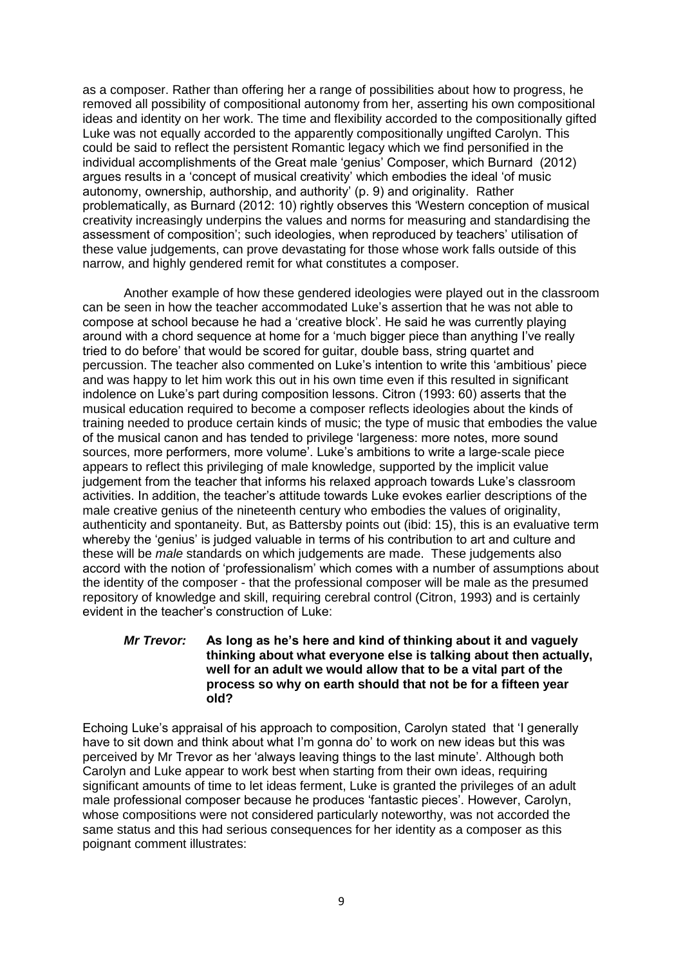as a composer. Rather than offering her a range of possibilities about how to progress, he removed all possibility of compositional autonomy from her, asserting his own compositional ideas and identity on her work. The time and flexibility accorded to the compositionally gifted Luke was not equally accorded to the apparently compositionally ungifted Carolyn. This could be said to reflect the persistent Romantic legacy which we find personified in the individual accomplishments of the Great male 'genius' Composer, which Burnard (2012) argues results in a 'concept of musical creativity' which embodies the ideal 'of music autonomy, ownership, authorship, and authority' (p. 9) and originality. Rather problematically, as Burnard (2012: 10) rightly observes this 'Western conception of musical creativity increasingly underpins the values and norms for measuring and standardising the assessment of composition'; such ideologies, when reproduced by teachers' utilisation of these value judgements, can prove devastating for those whose work falls outside of this narrow, and highly gendered remit for what constitutes a composer.

Another example of how these gendered ideologies were played out in the classroom can be seen in how the teacher accommodated Luke's assertion that he was not able to compose at school because he had a 'creative block'. He said he was currently playing around with a chord sequence at home for a 'much bigger piece than anything I've really tried to do before' that would be scored for guitar, double bass, string quartet and percussion. The teacher also commented on Luke's intention to write this 'ambitious' piece and was happy to let him work this out in his own time even if this resulted in significant indolence on Luke's part during composition lessons. Citron (1993: 60) asserts that the musical education required to become a composer reflects ideologies about the kinds of training needed to produce certain kinds of music; the type of music that embodies the value of the musical canon and has tended to privilege 'largeness: more notes, more sound sources, more performers, more volume'. Luke's ambitions to write a large-scale piece appears to reflect this privileging of male knowledge, supported by the implicit value judgement from the teacher that informs his relaxed approach towards Luke's classroom activities. In addition, the teacher's attitude towards Luke evokes earlier descriptions of the male creative genius of the nineteenth century who embodies the values of originality, authenticity and spontaneity. But, as Battersby points out (ibid: 15), this is an evaluative term whereby the 'genius' is judged valuable in terms of his contribution to art and culture and these will be *male* standards on which judgements are made. These judgements also accord with the notion of 'professionalism' which comes with a number of assumptions about the identity of the composer - that the professional composer will be male as the presumed repository of knowledge and skill, requiring cerebral control (Citron, 1993) and is certainly evident in the teacher's construction of Luke:

## *Mr Trevor:* **As long as he's here and kind of thinking about it and vaguely thinking about what everyone else is talking about then actually, well for an adult we would allow that to be a vital part of the process so why on earth should that not be for a fifteen year old?**

Echoing Luke's appraisal of his approach to composition, Carolyn stated that 'I generally have to sit down and think about what I'm gonna do' to work on new ideas but this was perceived by Mr Trevor as her 'always leaving things to the last minute'. Although both Carolyn and Luke appear to work best when starting from their own ideas, requiring significant amounts of time to let ideas ferment, Luke is granted the privileges of an adult male professional composer because he produces 'fantastic pieces'. However, Carolyn, whose compositions were not considered particularly noteworthy, was not accorded the same status and this had serious consequences for her identity as a composer as this poignant comment illustrates: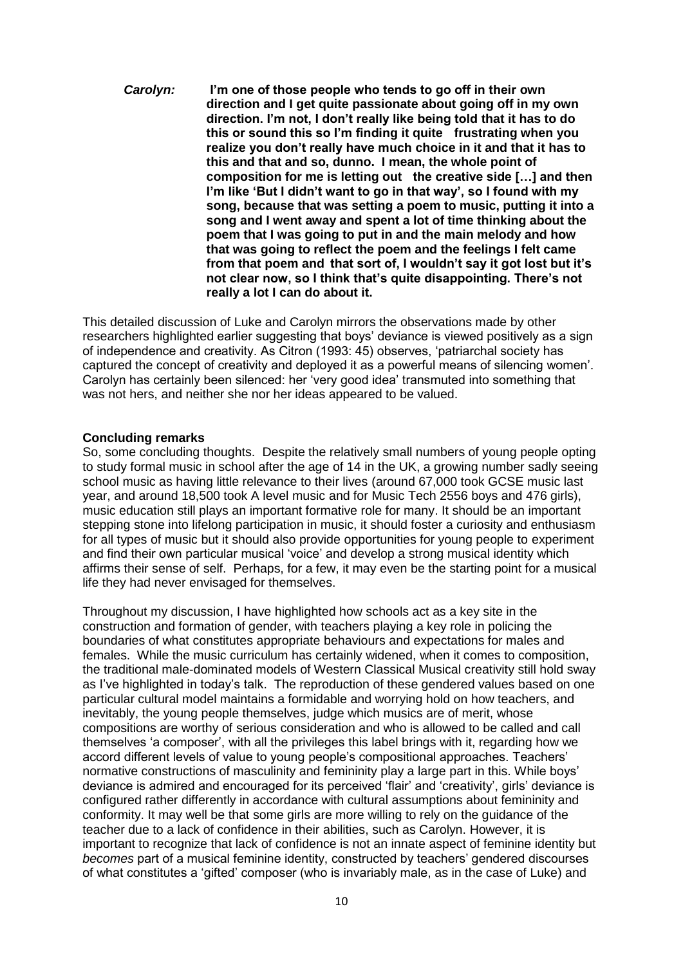*Carolyn:* **I'm one of those people who tends to go off in their own direction and I get quite passionate about going off in my own direction. I'm not, I don't really like being told that it has to do this or sound this so I'm finding it quite frustrating when you realize you don't really have much choice in it and that it has to this and that and so, dunno. I mean, the whole point of composition for me is letting out the creative side […] and then I'm like 'But I didn't want to go in that way', so I found with my song, because that was setting a poem to music, putting it into a song and I went away and spent a lot of time thinking about the poem that I was going to put in and the main melody and how that was going to reflect the poem and the feelings I felt came from that poem and that sort of, I wouldn't say it got lost but it's not clear now, so I think that's quite disappointing. There's not really a lot I can do about it.** 

This detailed discussion of Luke and Carolyn mirrors the observations made by other researchers highlighted earlier suggesting that boys' deviance is viewed positively as a sign of independence and creativity. As Citron (1993: 45) observes, 'patriarchal society has captured the concept of creativity and deployed it as a powerful means of silencing women'. Carolyn has certainly been silenced: her 'very good idea' transmuted into something that was not hers, and neither she nor her ideas appeared to be valued.

#### **Concluding remarks**

So, some concluding thoughts. Despite the relatively small numbers of young people opting to study formal music in school after the age of 14 in the UK, a growing number sadly seeing school music as having little relevance to their lives (around 67,000 took GCSE music last year, and around 18,500 took A level music and for Music Tech 2556 boys and 476 girls), music education still plays an important formative role for many. It should be an important stepping stone into lifelong participation in music, it should foster a curiosity and enthusiasm for all types of music but it should also provide opportunities for young people to experiment and find their own particular musical 'voice' and develop a strong musical identity which affirms their sense of self. Perhaps, for a few, it may even be the starting point for a musical life they had never envisaged for themselves.

Throughout my discussion, I have highlighted how schools act as a key site in the construction and formation of gender, with teachers playing a key role in policing the boundaries of what constitutes appropriate behaviours and expectations for males and females. While the music curriculum has certainly widened, when it comes to composition, the traditional male-dominated models of Western Classical Musical creativity still hold sway as I've highlighted in today's talk. The reproduction of these gendered values based on one particular cultural model maintains a formidable and worrying hold on how teachers, and inevitably, the young people themselves, judge which musics are of merit, whose compositions are worthy of serious consideration and who is allowed to be called and call themselves 'a composer', with all the privileges this label brings with it, regarding how we accord different levels of value to young people's compositional approaches. Teachers' normative constructions of masculinity and femininity play a large part in this. While boys' deviance is admired and encouraged for its perceived 'flair' and 'creativity', girls' deviance is configured rather differently in accordance with cultural assumptions about femininity and conformity. It may well be that some girls are more willing to rely on the guidance of the teacher due to a lack of confidence in their abilities, such as Carolyn. However, it is important to recognize that lack of confidence is not an innate aspect of feminine identity but *becomes* part of a musical feminine identity, constructed by teachers' gendered discourses of what constitutes a 'gifted' composer (who is invariably male, as in the case of Luke) and